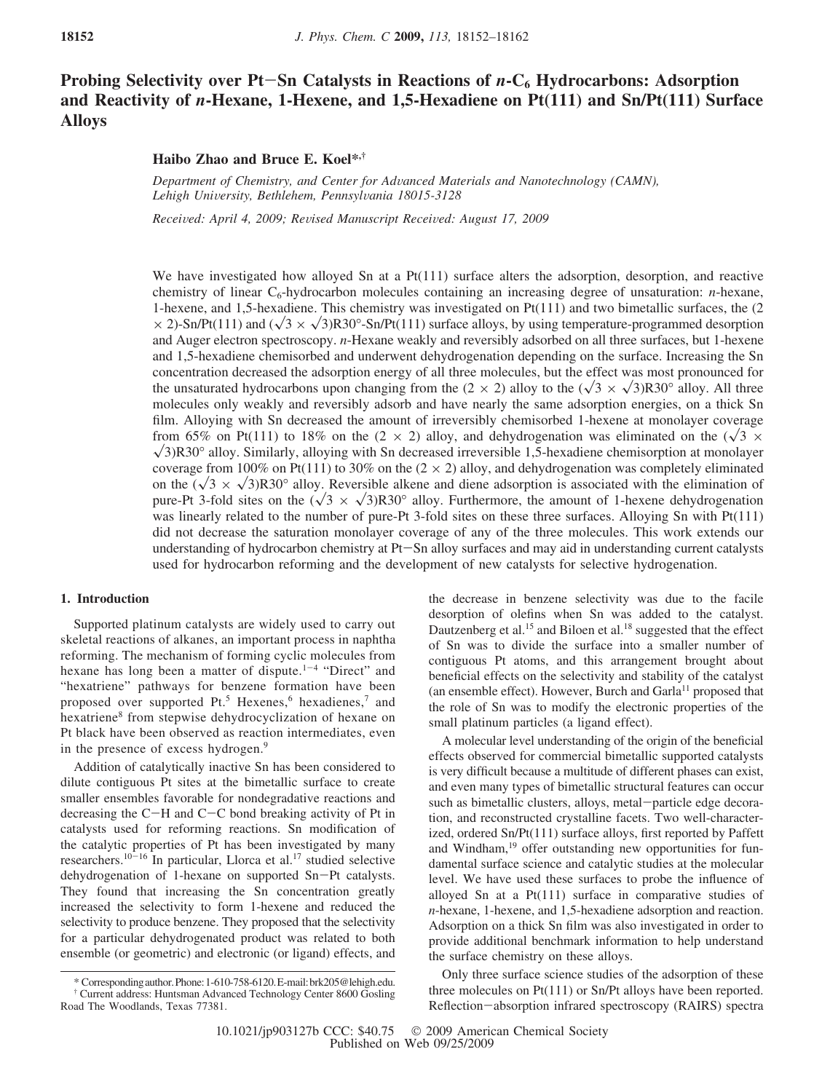# **Probing Selectivity over Pt-Sn Catalysts in Reactions of**  $n$ **-C<sub>6</sub> Hydrocarbons: Adsorption and Reactivity of** *n***-Hexane, 1-Hexene, and 1,5-Hexadiene on Pt(111) and Sn/Pt(111) Surface Alloys**

# **Haibo Zhao and Bruce E. Koel\*,†**

*Department of Chemistry, and Center for Ad*V*anced Materials and Nanotechnology (CAMN), Lehigh Uni*V*ersity, Bethlehem, Pennsyl*V*ania 18015-3128*

*Received: April 4, 2009; Revised Manuscript Received: August 17, 2009* 

We have investigated how alloyed Sn at a  $Pt(111)$  surface alters the adsorption, desorption, and reactive chemistry of linear  $C_6$ -hydrocarbon molecules containing an increasing degree of unsaturation: *n*-hexane, 1-hexene, and 1,5-hexadiene. This chemistry was investigated on Pt(111) and two bimetallic surfaces, the (2  $\times$  2)-Sn/Pt(111) and ( $\sqrt{3} \times \sqrt{3}$ )R30°-Sn/Pt(111) surface alloys, by using temperature-programmed desorption and Auger electron spectroscopy. *n*-Hexane weakly and reversibly adsorbed on all three surfaces, but 1-hexene and 1,5-hexadiene chemisorbed and underwent dehydrogenation depending on the surface. Increasing the Sn concentration decreased the adsorption energy of all three molecules, but the effect was most pronounced for the unsaturated hydrocarbons upon changing from the  $(2 \times 2)$  alloy to the  $(\sqrt{3} \times \sqrt{3})R30^\circ$  alloy. All three molecules only weakly and reversibly adsorb and have nearly the same adsorption energies, on a thick Sn film. Alloying with Sn decreased the amount of irreversibly chemisorbed 1-hexene at monolayer coverage from 65% on Pt(111) to 18% on the (2  $\times$  2) alloy, and dehydrogenation was eliminated on the ( $\sqrt{3}$   $\times$  $\sqrt{3}$ R30° alloy. Similarly, alloying with Sn decreased irreversible 1,5-hexadiene chemisorption at monolayer coverage from 100% on Pt(111) to 30% on the  $(2 \times 2)$  alloy, and dehydrogenation was completely eliminated on the  $(\sqrt{3} \times \sqrt{3})R30^\circ$  alloy. Reversible alkene and diene adsorption is associated with the elimination of pure-Pt 3-fold sites on the  $(\sqrt{3} \times \sqrt{3})R30^{\circ}$  alloy. Furthermore, the amount of 1-hexene dehydrogenation was linearly related to the number of pure-Pt 3-fold sites on these three surfaces. Alloying Sn with Pt(111) did not decrease the saturation monolayer coverage of any of the three molecules. This work extends our understanding of hydrocarbon chemistry at Pt-Sn alloy surfaces and may aid in understanding current catalysts used for hydrocarbon reforming and the development of new catalysts for selective hydrogenation.

### **1. Introduction**

Supported platinum catalysts are widely used to carry out skeletal reactions of alkanes, an important process in naphtha reforming. The mechanism of forming cyclic molecules from hexane has long been a matter of dispute.<sup>1-4</sup> "Direct" and "hexatriene" pathways for benzene formation have been proposed over supported  $Pt^5$ . Hexenes,  $6$  hexadienes,  $7$  and hexatriene<sup>8</sup> from stepwise dehydrocyclization of hexane on Pt black have been observed as reaction intermediates, even in the presence of excess hydrogen.<sup>9</sup>

Addition of catalytically inactive Sn has been considered to dilute contiguous Pt sites at the bimetallic surface to create smaller ensembles favorable for nondegradative reactions and decreasing the C-H and C-C bond breaking activity of Pt in catalysts used for reforming reactions. Sn modification of the catalytic properties of Pt has been investigated by many researchers.10-<sup>16</sup> In particular, Llorca et al.17 studied selective dehydrogenation of 1-hexane on supported Sn-Pt catalysts. They found that increasing the Sn concentration greatly increased the selectivity to form 1-hexene and reduced the selectivity to produce benzene. They proposed that the selectivity for a particular dehydrogenated product was related to both ensemble (or geometric) and electronic (or ligand) effects, and the decrease in benzene selectivity was due to the facile desorption of olefins when Sn was added to the catalyst. Dautzenberg et al.<sup>15</sup> and Biloen et al.<sup>18</sup> suggested that the effect of Sn was to divide the surface into a smaller number of contiguous Pt atoms, and this arrangement brought about beneficial effects on the selectivity and stability of the catalyst (an ensemble effect). However, Burch and Garla<sup>11</sup> proposed that the role of Sn was to modify the electronic properties of the small platinum particles (a ligand effect).

A molecular level understanding of the origin of the beneficial effects observed for commercial bimetallic supported catalysts is very difficult because a multitude of different phases can exist, and even many types of bimetallic structural features can occur such as bimetallic clusters, alloys, metal-particle edge decoration, and reconstructed crystalline facets. Two well-characterized, ordered Sn/Pt(111) surface alloys, first reported by Paffett and Windham,<sup>19</sup> offer outstanding new opportunities for fundamental surface science and catalytic studies at the molecular level. We have used these surfaces to probe the influence of alloyed Sn at a Pt(111) surface in comparative studies of *n*-hexane, 1-hexene, and 1,5-hexadiene adsorption and reaction. Adsorption on a thick Sn film was also investigated in order to provide additional benchmark information to help understand the surface chemistry on these alloys.

Only three surface science studies of the adsorption of these three molecules on Pt(111) or Sn/Pt alloys have been reported. Reflection-absorption infrared spectroscopy (RAIRS) spectra

<sup>\*</sup> Correspondingauthor.Phone:1-610-758-6120.E-mail:brk205@lehigh.edu. † Current address: Huntsman Advanced Technology Center 8600 Gosling Road The Woodlands, Texas 77381.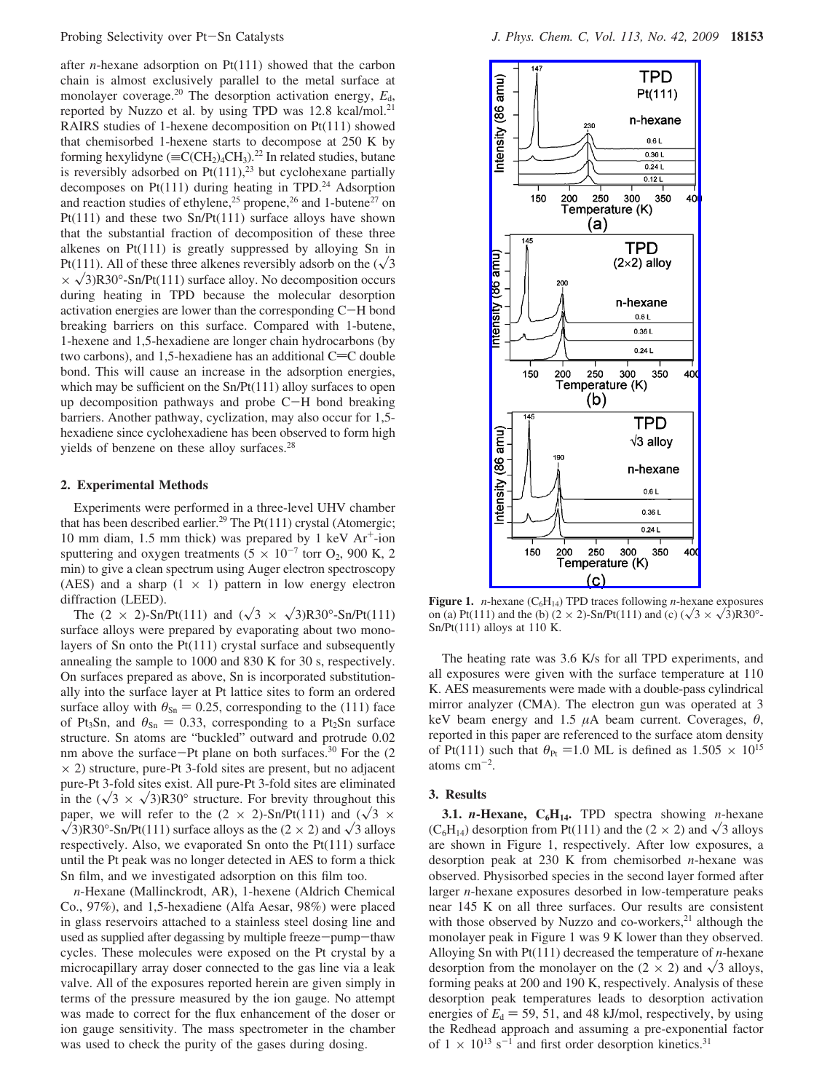after *n*-hexane adsorption on Pt(111) showed that the carbon chain is almost exclusively parallel to the metal surface at monolayer coverage.<sup>20</sup> The desorption activation energy,  $E_d$ , reported by Nuzzo et al. by using TPD was 12.8 kcal/mol.<sup>21</sup> RAIRS studies of 1-hexene decomposition on Pt(111) showed that chemisorbed 1-hexene starts to decompose at 250 K by forming hexylidyne ( $\equiv C(CH_2)_4CH_3$ ).<sup>22</sup> In related studies, butane is reversibly adsorbed on  $Pt(111),^{23}$  but cyclohexane partially decomposes on Pt $(111)$  during heating in TPD.<sup>24</sup> Adsorption and reaction studies of ethylene,<sup>25</sup> propene,<sup>26</sup> and 1-butene<sup>27</sup> on Pt(111) and these two Sn/Pt(111) surface alloys have shown that the substantial fraction of decomposition of these three alkenes on Pt(111) is greatly suppressed by alloying Sn in Pt(111). All of these three alkenes reversibly adsorb on the  $(\sqrt{3})$  $\times \sqrt{3}$ R30°-Sn/Pt(111) surface alloy. No decomposition occurs during heating in TPD because the molecular desorption activation energies are lower than the corresponding C-H bond breaking barriers on this surface. Compared with 1-butene, 1-hexene and 1,5-hexadiene are longer chain hydrocarbons (by two carbons), and  $1,5$ -hexadiene has an additional C=C double bond. This will cause an increase in the adsorption energies, which may be sufficient on the  $Sn/Pt(111)$  alloy surfaces to open up decomposition pathways and probe C-H bond breaking barriers. Another pathway, cyclization, may also occur for 1,5 hexadiene since cyclohexadiene has been observed to form high yields of benzene on these alloy surfaces.<sup>28</sup>

## **2. Experimental Methods**

Experiments were performed in a three-level UHV chamber that has been described earlier.<sup>29</sup> The Pt(111) crystal (Atomergic; 10 mm diam, 1.5 mm thick) was prepared by 1 keV  $Ar^+$ -ion sputtering and oxygen treatments ( $5 \times 10^{-7}$  torr O<sub>2</sub>, 900 K, 2 min) to give a clean spectrum using Auger electron spectroscopy (AES) and a sharp  $(1 \times 1)$  pattern in low energy electron diffraction (LEED).

The  $(2 \times 2)$ -Sn/Pt(111) and  $(\sqrt{3} \times \sqrt{3})R30^{\circ}$ -Sn/Pt(111) surface alloys were prepared by evaporating about two monolayers of Sn onto the Pt(111) crystal surface and subsequently annealing the sample to 1000 and 830 K for 30 s, respectively. On surfaces prepared as above, Sn is incorporated substitutionally into the surface layer at Pt lattice sites to form an ordered surface alloy with  $\theta_{\text{Sn}} = 0.25$ , corresponding to the (111) face of Pt<sub>3</sub>Sn, and  $\theta_{\text{Sn}} = 0.33$ , corresponding to a Pt<sub>2</sub>Sn surface structure. Sn atoms are "buckled" outward and protrude 0.02 nm above the surface-Pt plane on both surfaces.<sup>30</sup> For the  $(2)$  $\times$  2) structure, pure-Pt 3-fold sites are present, but no adjacent pure-Pt 3-fold sites exist. All pure-Pt 3-fold sites are eliminated in the  $(\sqrt{3} \times \sqrt{3})R30^{\circ}$  structure. For brevity throughout this paper, we will refer to the  $(2 \times 2)$ -Sn/Pt(111) and  $(\sqrt{3} \times$  $\sqrt{3}$ R30°-Sn/Pt(111) surface alloys as the (2  $\times$  2) and  $\sqrt{3}$  alloys respectively. Also, we evaporated Sn onto the Pt(111) surface until the Pt peak was no longer detected in AES to form a thick Sn film, and we investigated adsorption on this film too.

*n*-Hexane (Mallinckrodt, AR), 1-hexene (Aldrich Chemical Co., 97%), and 1,5-hexadiene (Alfa Aesar, 98%) were placed in glass reservoirs attached to a stainless steel dosing line and used as supplied after degassing by multiple freeze-pump-thaw cycles. These molecules were exposed on the Pt crystal by a microcapillary array doser connected to the gas line via a leak valve. All of the exposures reported herein are given simply in terms of the pressure measured by the ion gauge. No attempt was made to correct for the flux enhancement of the doser or ion gauge sensitivity. The mass spectrometer in the chamber was used to check the purity of the gases during dosing.



**Figure 1.** *n*-hexane ( $C_6H_{14}$ ) TPD traces following *n*-hexane exposures on (a) Pt(111) and the (b) (2  $\times$  2)-Sn/Pt(111) and (c) ( $\sqrt{3} \times \sqrt{3}$ )R30°-Sn/Pt(111) alloys at 110 K.

The heating rate was 3.6 K/s for all TPD experiments, and all exposures were given with the surface temperature at 110 K. AES measurements were made with a double-pass cylindrical mirror analyzer (CMA). The electron gun was operated at 3 keV beam energy and 1.5 *µ*A beam current. Coverages, *θ*, reported in this paper are referenced to the surface atom density of Pt(111) such that  $\theta_{\text{Pt}} = 1.0$  ML is defined as  $1.505 \times 10^{15}$ atoms  $\text{cm}^{-2}$ .

# **3. Results**

**3.1.** *n***-Hexane, C<sub>6</sub>H<sub>14</sub>. TPD spectra showing** *n***-hexane**  $(C_6H_{14})$  desorption from Pt(111) and the (2  $\times$  2) and  $\sqrt{3}$  alloys are shown in Figure 1, respectively. After low exposures, a desorption peak at 230 K from chemisorbed *n*-hexane was observed. Physisorbed species in the second layer formed after larger *n*-hexane exposures desorbed in low-temperature peaks near 145 K on all three surfaces. Our results are consistent with those observed by Nuzzo and co-workers, $^{21}$  although the monolayer peak in Figure 1 was 9 K lower than they observed. Alloying Sn with Pt(111) decreased the temperature of *n*-hexane desorption from the monolayer on the  $(2 \times 2)$  and  $\sqrt{3}$  alloys, forming peaks at 200 and 190 K, respectively. Analysis of these desorption peak temperatures leads to desorption activation energies of  $E_d = 59, 51$ , and 48 kJ/mol, respectively, by using the Redhead approach and assuming a pre-exponential factor of  $1 \times 10^{13}$  s<sup>-1</sup> and first order desorption kinetics.<sup>31</sup>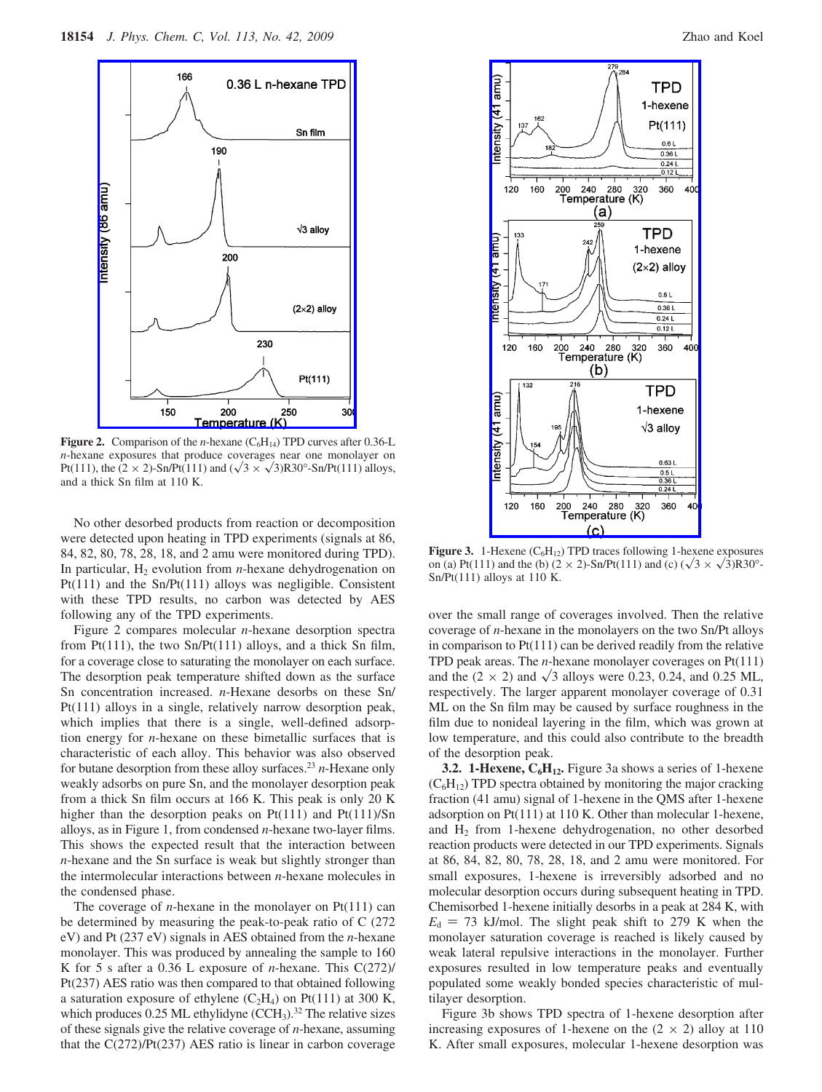

**Figure 2.** Comparison of the *n*-hexane  $(C_6H_{14})$  TPD curves after 0.36-L *n*-hexane exposures that produce coverages near one monolayer on Pt(111), the  $(2 \times 2)$ -Sn/Pt(111) and  $(\sqrt{3} \times \sqrt{3})R30^\circ$ -Sn/Pt(111) alloys, and a thick Sn film at 110 K.

No other desorbed products from reaction or decomposition were detected upon heating in TPD experiments (signals at 86, 84, 82, 80, 78, 28, 18, and 2 amu were monitored during TPD). In particular,  $H_2$  evolution from *n*-hexane dehydrogenation on Pt(111) and the Sn/Pt(111) alloys was negligible. Consistent with these TPD results, no carbon was detected by AES following any of the TPD experiments.

Figure 2 compares molecular *n*-hexane desorption spectra from  $Pt(111)$ , the two  $Sn/Pt(111)$  alloys, and a thick Sn film, for a coverage close to saturating the monolayer on each surface. The desorption peak temperature shifted down as the surface Sn concentration increased. *n*-Hexane desorbs on these Sn/ Pt(111) alloys in a single, relatively narrow desorption peak, which implies that there is a single, well-defined adsorption energy for *n*-hexane on these bimetallic surfaces that is characteristic of each alloy. This behavior was also observed for butane desorption from these alloy surfaces.23 *n*-Hexane only weakly adsorbs on pure Sn, and the monolayer desorption peak from a thick Sn film occurs at 166 K. This peak is only 20 K higher than the desorption peaks on Pt(111) and Pt(111)/Sn alloys, as in Figure 1, from condensed *n*-hexane two-layer films. This shows the expected result that the interaction between *n*-hexane and the Sn surface is weak but slightly stronger than the intermolecular interactions between *n*-hexane molecules in the condensed phase.

The coverage of *n*-hexane in the monolayer on  $Pt(111)$  can be determined by measuring the peak-to-peak ratio of C (272 eV) and Pt (237 eV) signals in AES obtained from the *n*-hexane monolayer. This was produced by annealing the sample to 160 K for 5 s after a 0.36 L exposure of *n*-hexane. This C(272)/ Pt(237) AES ratio was then compared to that obtained following a saturation exposure of ethylene  $(C_2H_4)$  on Pt(111) at 300 K, which produces  $0.25$  ML ethylidyne (CCH<sub>3</sub>).<sup>32</sup> The relative sizes of these signals give the relative coverage of *n*-hexane, assuming that the  $C(272)/Pt(237)$  AES ratio is linear in carbon coverage



Figure 3. 1-Hexene (C<sub>6</sub>H<sub>12</sub>) TPD traces following 1-hexene exposures on (a) Pt(111) and the (b)  $(2 \times 2)$ -Sn/Pt(111) and (c)  $(\sqrt{3} \times \sqrt{3})R30^{\circ}$ -Sn/Pt(111) alloys at 110 K.

over the small range of coverages involved. Then the relative coverage of *n*-hexane in the monolayers on the two Sn/Pt alloys in comparison to  $Pt(111)$  can be derived readily from the relative TPD peak areas. The *n*-hexane monolayer coverages on Pt(111) and the  $(2 \times 2)$  and  $\sqrt{3}$  alloys were 0.23, 0.24, and 0.25 ML, respectively. The larger apparent monolayer coverage of 0.31 ML on the Sn film may be caused by surface roughness in the film due to nonideal layering in the film, which was grown at low temperature, and this could also contribute to the breadth of the desorption peak.

**3.2. 1-Hexene, C<sub>6</sub>H<sub>12</sub>.** Figure 3a shows a series of 1-hexene  $(C_6H_{12})$  TPD spectra obtained by monitoring the major cracking fraction (41 amu) signal of 1-hexene in the QMS after 1-hexene adsorption on Pt(111) at 110 K. Other than molecular 1-hexene, and  $H_2$  from 1-hexene dehydrogenation, no other desorbed reaction products were detected in our TPD experiments. Signals at 86, 84, 82, 80, 78, 28, 18, and 2 amu were monitored. For small exposures, 1-hexene is irreversibly adsorbed and no molecular desorption occurs during subsequent heating in TPD. Chemisorbed 1-hexene initially desorbs in a peak at 284 K, with  $E<sub>d</sub> = 73$  kJ/mol. The slight peak shift to 279 K when the monolayer saturation coverage is reached is likely caused by weak lateral repulsive interactions in the monolayer. Further exposures resulted in low temperature peaks and eventually populated some weakly bonded species characteristic of multilayer desorption.

Figure 3b shows TPD spectra of 1-hexene desorption after increasing exposures of 1-hexene on the  $(2 \times 2)$  alloy at 110 K. After small exposures, molecular 1-hexene desorption was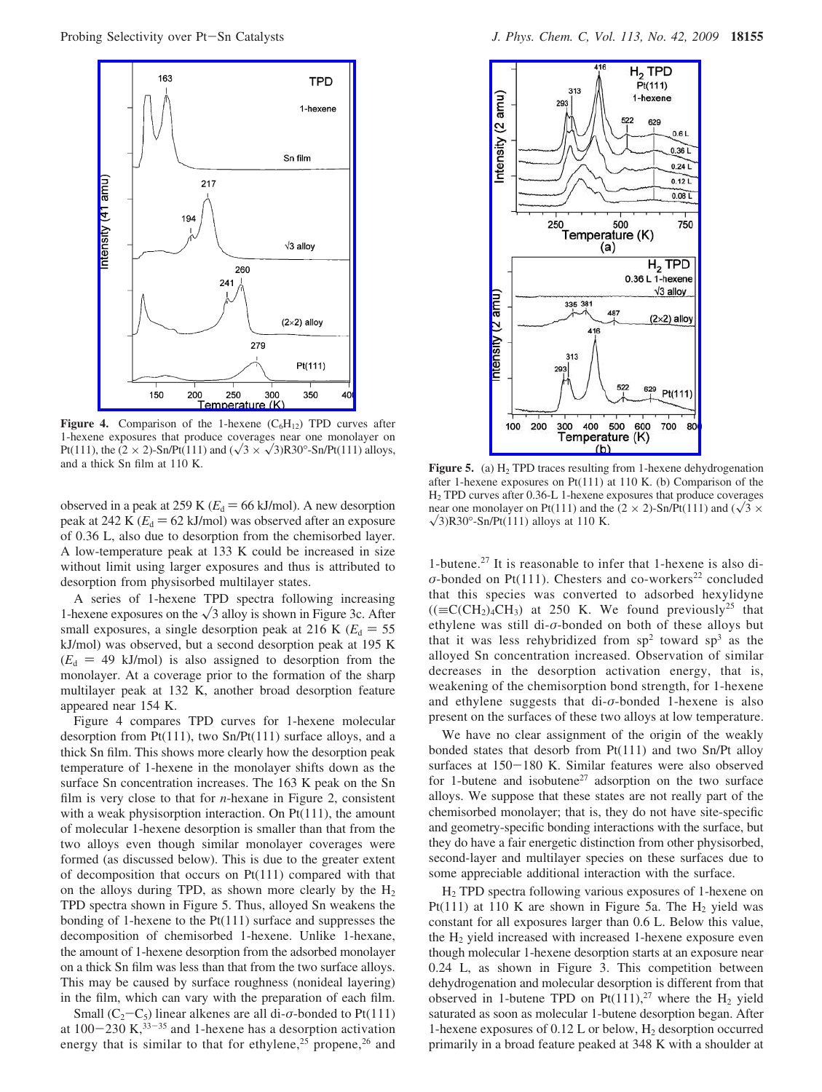

**Figure 4.** Comparison of the 1-hexene  $(C_6H_{12})$  TPD curves after 1-hexene exposures that produce coverages near one monolayer on Pt(111), the (2 × 2)-Sn/Pt(111) and ( $\sqrt{3}$  ×  $\sqrt{3}$ )R30°-Sn/Pt(111) alloys, and a thick Sn film at 110 K.

observed in a peak at 259 K ( $E_d$  = 66 kJ/mol). A new desorption peak at 242 K  $(E_d = 62 \text{ kJ/mol})$  was observed after an exposure of 0.36 L, also due to desorption from the chemisorbed layer. A low-temperature peak at 133 K could be increased in size without limit using larger exposures and thus is attributed to desorption from physisorbed multilayer states.

A series of 1-hexene TPD spectra following increasing 1-hexene exposures on the  $\sqrt{3}$  alloy is shown in Figure 3c. After small exposures, a single desorption peak at 216 K ( $E_d = 55$ ) kJ/mol) was observed, but a second desorption peak at 195 K  $(E_d = 49 \text{ kJ/mol})$  is also assigned to desorption from the monolayer. At a coverage prior to the formation of the sharp multilayer peak at 132 K, another broad desorption feature appeared near 154 K.

Figure 4 compares TPD curves for 1-hexene molecular desorption from Pt(111), two Sn/Pt(111) surface alloys, and a thick Sn film. This shows more clearly how the desorption peak temperature of 1-hexene in the monolayer shifts down as the surface Sn concentration increases. The 163 K peak on the Sn film is very close to that for *n*-hexane in Figure 2, consistent with a weak physisorption interaction. On  $Pt(111)$ , the amount of molecular 1-hexene desorption is smaller than that from the two alloys even though similar monolayer coverages were formed (as discussed below). This is due to the greater extent of decomposition that occurs on Pt(111) compared with that on the alloys during TPD, as shown more clearly by the  $H_2$ TPD spectra shown in Figure 5. Thus, alloyed Sn weakens the bonding of 1-hexene to the Pt(111) surface and suppresses the decomposition of chemisorbed 1-hexene. Unlike 1-hexane, the amount of 1-hexene desorption from the adsorbed monolayer on a thick Sn film was less than that from the two surface alloys. This may be caused by surface roughness (nonideal layering) in the film, which can vary with the preparation of each film.

Small ( $C_2 - C_5$ ) linear alkenes are all di- $\sigma$ -bonded to Pt(111) at  $100-230$  K,<sup>33-35</sup> and 1-hexene has a desorption activation energy that is similar to that for ethylene,<sup>25</sup> propene,<sup>26</sup> and



Figure 5. (a)  $H_2$  TPD traces resulting from 1-hexene dehydrogenation after 1-hexene exposures on Pt(111) at 110 K. (b) Comparison of the H2 TPD curves after 0.36-L 1-hexene exposures that produce coverages near one monolayer on Pt(111) and the (2  $\times$  2)-Sn/Pt(111) and ( $\sqrt{3}$   $\times$  $\sqrt{3}$ )R30°-Sn/Pt(111) alloys at 110 K.

1-butene.27 It is reasonable to infer that 1-hexene is also di- $\sigma$ -bonded on Pt(111). Chesters and co-workers<sup>22</sup> concluded that this species was converted to adsorbed hexylidyne  $((\equiv C(CH_2)_4CH_3)$  at 250 K. We found previously<sup>25</sup> that ethylene was still di-*σ*-bonded on both of these alloys but that it was less rehybridized from  $sp<sup>2</sup>$  toward  $sp<sup>3</sup>$  as the alloyed Sn concentration increased. Observation of similar decreases in the desorption activation energy, that is, weakening of the chemisorption bond strength, for 1-hexene and ethylene suggests that di-*σ*-bonded 1-hexene is also present on the surfaces of these two alloys at low temperature.

We have no clear assignment of the origin of the weakly bonded states that desorb from Pt(111) and two Sn/Pt alloy surfaces at 150-180 K. Similar features were also observed for 1-butene and isobutene<sup>27</sup> adsorption on the two surface alloys. We suppose that these states are not really part of the chemisorbed monolayer; that is, they do not have site-specific and geometry-specific bonding interactions with the surface, but they do have a fair energetic distinction from other physisorbed, second-layer and multilayer species on these surfaces due to some appreciable additional interaction with the surface.

 $H<sub>2</sub>$  TPD spectra following various exposures of 1-hexene on Pt(111) at 110 K are shown in Figure 5a. The  $H_2$  yield was constant for all exposures larger than 0.6 L. Below this value, the  $H<sub>2</sub>$  yield increased with increased 1-hexene exposure even though molecular 1-hexene desorption starts at an exposure near 0.24 L, as shown in Figure 3. This competition between dehydrogenation and molecular desorption is different from that observed in 1-butene TPD on  $Pt(111)<sup>27</sup>$  where the H<sub>2</sub> yield saturated as soon as molecular 1-butene desorption began. After 1-hexene exposures of  $0.12$  L or below,  $H_2$  desorption occurred primarily in a broad feature peaked at 348 K with a shoulder at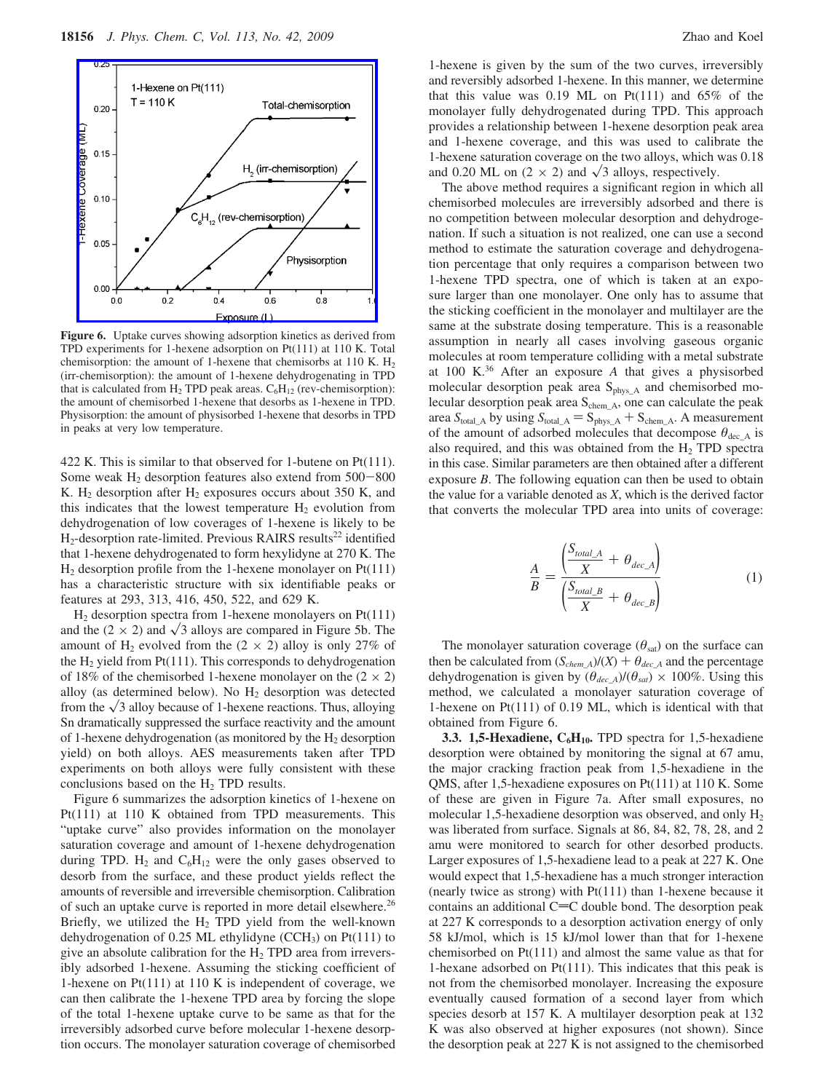

**Figure 6.** Uptake curves showing adsorption kinetics as derived from TPD experiments for 1-hexene adsorption on Pt(111) at 110 K. Total chemisorption: the amount of 1-hexene that chemisorbs at 110 K.  $H_2$ (irr-chemisorption): the amount of 1-hexene dehydrogenating in TPD that is calculated from  $H_2$  TPD peak areas.  $C_6H_{12}$  (rev-chemisorption): the amount of chemisorbed 1-hexene that desorbs as 1-hexene in TPD. Physisorption: the amount of physisorbed 1-hexene that desorbs in TPD in peaks at very low temperature.

422 K. This is similar to that observed for 1-butene on Pt(111). Some weak  $H_2$  desorption features also extend from  $500-800$ K.  $H_2$  desorption after  $H_2$  exposures occurs about 350 K, and this indicates that the lowest temperature  $H_2$  evolution from dehydrogenation of low coverages of 1-hexene is likely to be  $H<sub>2</sub>$ -desorption rate-limited. Previous RAIRS results<sup>22</sup> identified that 1-hexene dehydrogenated to form hexylidyne at 270 K. The  $H_2$  desorption profile from the 1-hexene monolayer on Pt(111) has a characteristic structure with six identifiable peaks or features at 293, 313, 416, 450, 522, and 629 K.

 $H_2$  desorption spectra from 1-hexene monolayers on Pt(111) and the  $(2 \times 2)$  and  $\sqrt{3}$  alloys are compared in Figure 5b. The amount of H<sub>2</sub> evolved from the  $(2 \times 2)$  alloy is only 27% of the  $H_2$  yield from Pt(111). This corresponds to dehydrogenation of 18% of the chemisorbed 1-hexene monolayer on the  $(2 \times 2)$ alloy (as determined below). No  $H_2$  desorption was detected from the  $\sqrt{3}$  alloy because of 1-hexene reactions. Thus, alloying Sn dramatically suppressed the surface reactivity and the amount of 1-hexene dehydrogenation (as monitored by the  $H_2$  desorption yield) on both alloys. AES measurements taken after TPD experiments on both alloys were fully consistent with these conclusions based on the H<sub>2</sub> TPD results.

Figure 6 summarizes the adsorption kinetics of 1-hexene on Pt(111) at 110 K obtained from TPD measurements. This "uptake curve" also provides information on the monolayer saturation coverage and amount of 1-hexene dehydrogenation during TPD.  $H_2$  and  $C_6H_{12}$  were the only gases observed to desorb from the surface, and these product yields reflect the amounts of reversible and irreversible chemisorption. Calibration of such an uptake curve is reported in more detail elsewhere.<sup>26</sup> Briefly, we utilized the  $H_2$  TPD yield from the well-known dehydrogenation of 0.25 ML ethylidyne (CCH3) on Pt(111) to give an absolute calibration for the  $H_2$  TPD area from irreversibly adsorbed 1-hexene. Assuming the sticking coefficient of 1-hexene on Pt(111) at 110 K is independent of coverage, we can then calibrate the 1-hexene TPD area by forcing the slope of the total 1-hexene uptake curve to be same as that for the irreversibly adsorbed curve before molecular 1-hexene desorption occurs. The monolayer saturation coverage of chemisorbed

1-hexene is given by the sum of the two curves, irreversibly and reversibly adsorbed 1-hexene. In this manner, we determine that this value was  $0.19$  ML on Pt(111) and  $65\%$  of the monolayer fully dehydrogenated during TPD. This approach provides a relationship between 1-hexene desorption peak area and 1-hexene coverage, and this was used to calibrate the 1-hexene saturation coverage on the two alloys, which was 0.18 and 0.20 ML on  $(2 \times 2)$  and  $\sqrt{3}$  alloys, respectively.

The above method requires a significant region in which all chemisorbed molecules are irreversibly adsorbed and there is no competition between molecular desorption and dehydrogenation. If such a situation is not realized, one can use a second method to estimate the saturation coverage and dehydrogenation percentage that only requires a comparison between two 1-hexene TPD spectra, one of which is taken at an exposure larger than one monolayer. One only has to assume that the sticking coefficient in the monolayer and multilayer are the same at the substrate dosing temperature. This is a reasonable assumption in nearly all cases involving gaseous organic molecules at room temperature colliding with a metal substrate at 100 K.36 After an exposure *A* that gives a physisorbed molecular desorption peak area  $S_{phys,A}$  and chemisorbed molecular desorption peak area  $S_{chem\_A}$ , one can calculate the peak area  $S_{\text{total\_A}}$  by using  $S_{\text{total\_A}} = S_{\text{phys\_A}} + S_{\text{chem\_A}}$ . A measurement of the amount of adsorbed molecules that decompose  $\theta_{\text{dec}_A}$  is also required, and this was obtained from the  $H<sub>2</sub>$  TPD spectra in this case. Similar parameters are then obtained after a different exposure *B*. The following equation can then be used to obtain the value for a variable denoted as *X*, which is the derived factor that converts the molecular TPD area into units of coverage:

$$
\frac{A}{B} = \frac{\left(\frac{S_{total\_A}}{X} + \theta_{dec\_A}\right)}{\left(\frac{S_{total\_B}}{X} + \theta_{dec\_B}\right)}
$$
(1)

The monolayer saturation coverage ( $\theta_{\text{sat}}$ ) on the surface can then be calculated from  $(S_{chem\_A})/(X) + \theta_{dec\_A}$  and the percentage dehydrogenation is given by  $(\theta_{dec}A)/(\theta_{sat}) \times 100\%$ . Using this method, we calculated a monolayer saturation coverage of 1-hexene on Pt(111) of 0.19 ML, which is identical with that obtained from Figure 6.

**3.3. 1,5-Hexadiene, C<sub>6</sub>H<sub>10</sub>. TPD spectra for 1,5-hexadiene** desorption were obtained by monitoring the signal at 67 amu, the major cracking fraction peak from 1,5-hexadiene in the QMS, after 1,5-hexadiene exposures on Pt(111) at 110 K. Some of these are given in Figure 7a. After small exposures, no molecular 1,5-hexadiene desorption was observed, and only  $H_2$ was liberated from surface. Signals at 86, 84, 82, 78, 28, and 2 amu were monitored to search for other desorbed products. Larger exposures of 1,5-hexadiene lead to a peak at 227 K. One would expect that 1,5-hexadiene has a much stronger interaction (nearly twice as strong) with Pt(111) than 1-hexene because it contains an additional  $C=C$  double bond. The desorption peak at 227 K corresponds to a desorption activation energy of only 58 kJ/mol, which is 15 kJ/mol lower than that for 1-hexene chemisorbed on Pt(111) and almost the same value as that for 1-hexane adsorbed on Pt(111). This indicates that this peak is not from the chemisorbed monolayer. Increasing the exposure eventually caused formation of a second layer from which species desorb at 157 K. A multilayer desorption peak at 132 K was also observed at higher exposures (not shown). Since the desorption peak at 227 K is not assigned to the chemisorbed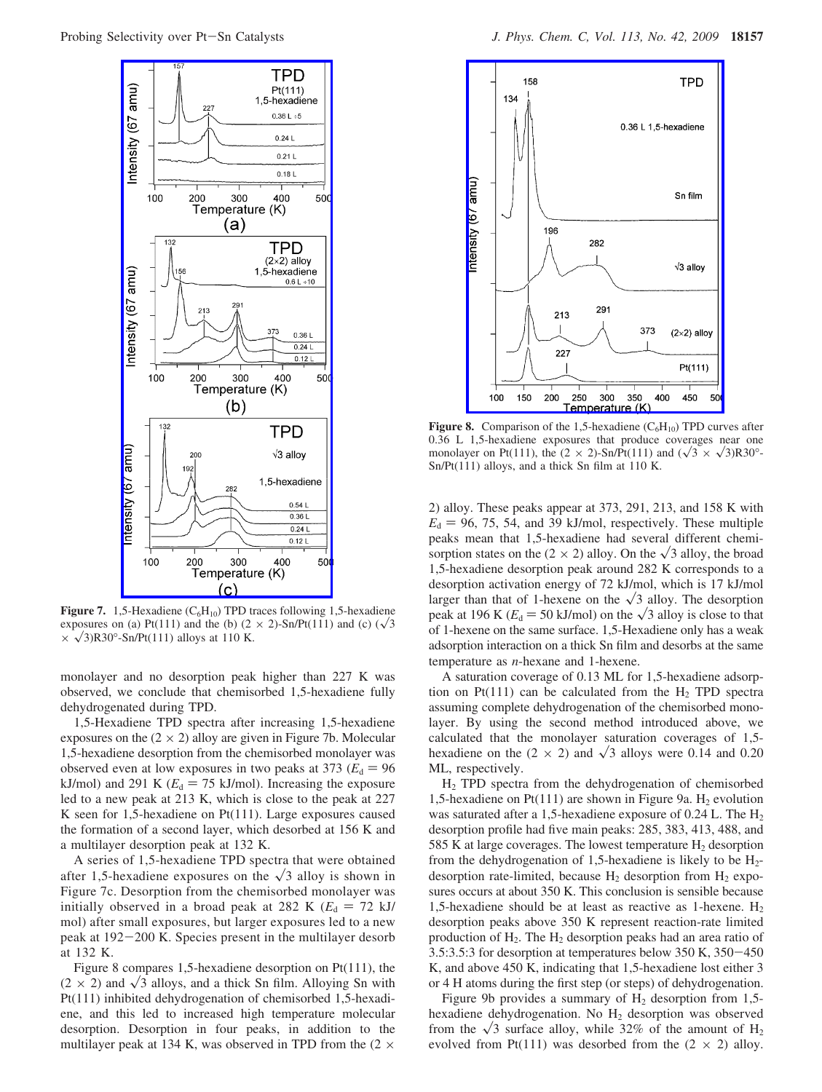

**Figure 7.** 1,5-Hexadiene  $(C_6H_{10})$  TPD traces following 1,5-hexadiene exposures on (a) Pt(111) and the (b)  $(2 \times 2)$ -Sn/Pt(111) and (c)  $(\sqrt{3})$  $\times \sqrt{3}$ R30°-Sn/Pt(111) alloys at 110 K.

monolayer and no desorption peak higher than 227 K was observed, we conclude that chemisorbed 1,5-hexadiene fully dehydrogenated during TPD.

1,5-Hexadiene TPD spectra after increasing 1,5-hexadiene exposures on the  $(2 \times 2)$  alloy are given in Figure 7b. Molecular 1,5-hexadiene desorption from the chemisorbed monolayer was observed even at low exposures in two peaks at 373 ( $E_d = 96$ ) kJ/mol) and 291 K ( $E_d = 75$  kJ/mol). Increasing the exposure led to a new peak at 213 K, which is close to the peak at 227 K seen for 1,5-hexadiene on Pt(111). Large exposures caused the formation of a second layer, which desorbed at 156 K and a multilayer desorption peak at 132 K.

A series of 1,5-hexadiene TPD spectra that were obtained after 1,5-hexadiene exposures on the  $\sqrt{3}$  alloy is shown in Figure 7c. Desorption from the chemisorbed monolayer was initially observed in a broad peak at 282 K ( $E_d = 72$  kJ/ mol) after small exposures, but larger exposures led to a new peak at 192-200 K. Species present in the multilayer desorb at 132 K.

Figure 8 compares 1,5-hexadiene desorption on Pt(111), the  $(2 \times 2)$  and  $\sqrt{3}$  alloys, and a thick Sn film. Alloying Sn with Pt(111) inhibited dehydrogenation of chemisorbed 1,5-hexadiene, and this led to increased high temperature molecular desorption. Desorption in four peaks, in addition to the multilayer peak at 134 K, was observed in TPD from the  $(2 \times$ 



**Figure 8.** Comparison of the 1,5-hexadiene  $(C_6H_{10})$  TPD curves after 0.36 L 1,5-hexadiene exposures that produce coverages near one monolayer on Pt(111), the  $(2 \times 2)$ -Sn/Pt(111) and  $(\sqrt{3} \times \sqrt{3})R30^\circ$ -Sn/Pt(111) alloys, and a thick Sn film at 110 K.

2) alloy. These peaks appear at 373, 291, 213, and 158 K with  $E<sub>d</sub> = 96, 75, 54,$  and 39 kJ/mol, respectively. These multiple peaks mean that 1,5-hexadiene had several different chemisorption states on the  $(2 \times 2)$  alloy. On the  $\sqrt{3}$  alloy, the broad 1,5-hexadiene desorption peak around 282 K corresponds to a desorption activation energy of 72 kJ/mol, which is 17 kJ/mol larger than that of 1-hexene on the  $\sqrt{3}$  alloy. The desorption peak at 196 K ( $E_d$  = 50 kJ/mol) on the  $\sqrt{3}$  alloy is close to that of 1-hexene on the same surface. 1,5-Hexadiene only has a weak adsorption interaction on a thick Sn film and desorbs at the same temperature as *n*-hexane and 1-hexene.

A saturation coverage of 0.13 ML for 1,5-hexadiene adsorption on Pt(111) can be calculated from the  $H_2$  TPD spectra assuming complete dehydrogenation of the chemisorbed monolayer. By using the second method introduced above, we calculated that the monolayer saturation coverages of 1,5 hexadiene on the  $(2 \times 2)$  and  $\sqrt{3}$  alloys were 0.14 and 0.20 ML, respectively.

H2 TPD spectra from the dehydrogenation of chemisorbed 1,5-hexadiene on Pt(111) are shown in Figure 9a.  $H_2$  evolution was saturated after a 1,5-hexadiene exposure of 0.24 L. The H<sub>2</sub> desorption profile had five main peaks: 285, 383, 413, 488, and 585 K at large coverages. The lowest temperature  $H_2$  desorption from the dehydrogenation of 1,5-hexadiene is likely to be  $H_2$ desorption rate-limited, because  $H_2$  desorption from  $H_2$  exposures occurs at about 350 K. This conclusion is sensible because 1,5-hexadiene should be at least as reactive as 1-hexene.  $H_2$ desorption peaks above 350 K represent reaction-rate limited production of  $H_2$ . The  $H_2$  desorption peaks had an area ratio of 3.5:3.5:3 for desorption at temperatures below 350 K, 350-<sup>450</sup> K, and above 450 K, indicating that 1,5-hexadiene lost either 3 or 4 H atoms during the first step (or steps) of dehydrogenation.

Figure 9b provides a summary of  $H_2$  desorption from 1,5hexadiene dehydrogenation. No H<sub>2</sub> desorption was observed from the  $\sqrt{3}$  surface alloy, while 32% of the amount of H<sub>2</sub> evolved from Pt(111) was desorbed from the  $(2 \times 2)$  alloy.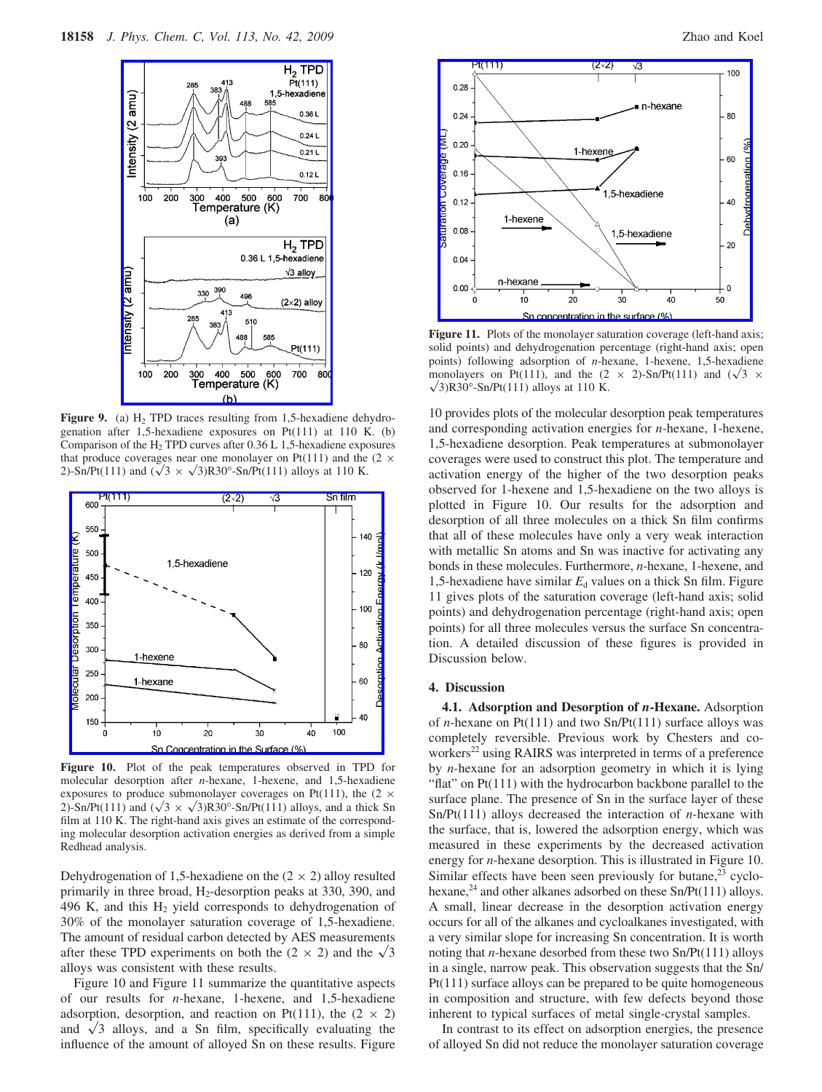

**Figure 9.** (a)  $H_2$  TPD traces resulting from 1,5-hexadiene dehydrogenation after 1,5-hexadiene exposures on Pt(111) at 110 K. (b) Comparison of the  $H_2$  TPD curves after 0.36 L 1,5-hexadiene exposures that produce coverages near one monolayer on Pt(111) and the  $(2 \times$ 2)-Sn/Pt(111) and  $(\sqrt{3} \times \sqrt{3})R30^\circ$ -Sn/Pt(111) alloys at 110 K.



**Figure 10.** Plot of the peak temperatures observed in TPD for molecular desorption after *n*-hexane, 1-hexene, and 1,5-hexadiene exposures to produce submonolayer coverages on Pt(111), the  $(2 \times$ 2)-Sn/Pt(111) and  $(\sqrt{3} \times \sqrt{3})R30^\circ$ -Sn/Pt(111) alloys, and a thick Sn film at 110 K. The right-hand axis gives an estimate of the corresponding molecular desorption activation energies as derived from a simple Redhead analysis.

Dehydrogenation of 1,5-hexadiene on the  $(2 \times 2)$  alloy resulted primarily in three broad,  $H_2$ -desorption peaks at 330, 390, and 496 K, and this  $H_2$  yield corresponds to dehydrogenation of 30% of the monolayer saturation coverage of 1,5-hexadiene. The amount of residual carbon detected by AES measurements after these TPD experiments on both the  $(2 \times 2)$  and the  $\sqrt{3}$ alloys was consistent with these results.

Figure 10 and Figure 11 summarize the quantitative aspects of our results for *n*-hexane, 1-hexene, and 1,5-hexadiene adsorption, desorption, and reaction on Pt(111), the  $(2 \times 2)$ and  $\sqrt{3}$  alloys, and a Sn film, specifically evaluating the influence of the amount of alloyed Sn on these results. Figure



Figure 11. Plots of the monolayer saturation coverage (left-hand axis; solid points) and dehydrogenation percentage (right-hand axis; open points) following adsorption of *n*-hexane, 1-hexene, 1,5-hexadiene monolayers on Pt(111), and the  $(2 \times 2)$ -Sn/Pt(111) and  $(\sqrt{3} \times$  $\sqrt{3}$ R30°-Sn/Pt(111) alloys at 110 K.

10 provides plots of the molecular desorption peak temperatures and corresponding activation energies for *n*-hexane, 1-hexene, 1,5-hexadiene desorption. Peak temperatures at submonolayer coverages were used to construct this plot. The temperature and activation energy of the higher of the two desorption peaks observed for 1-hexene and 1,5-hexadiene on the two alloys is plotted in Figure 10. Our results for the adsorption and desorption of all three molecules on a thick Sn film confirms that all of these molecules have only a very weak interaction with metallic Sn atoms and Sn was inactive for activating any bonds in these molecules. Furthermore, *n*-hexane, 1-hexene, and 1,5-hexadiene have similar  $E_d$  values on a thick Sn film. Figure 11 gives plots of the saturation coverage (left-hand axis; solid points) and dehydrogenation percentage (right-hand axis; open points) for all three molecules versus the surface Sn concentration. A detailed discussion of these figures is provided in Discussion below.

#### **4. Discussion**

**4.1. Adsorption and Desorption of** *n***-Hexane.** Adsorption of *n*-hexane on Pt(111) and two Sn/Pt(111) surface alloys was completely reversible. Previous work by Chesters and coworkers<sup>22</sup> using RAIRS was interpreted in terms of a preference by *n*-hexane for an adsorption geometry in which it is lying "flat" on Pt(111) with the hydrocarbon backbone parallel to the surface plane. The presence of Sn in the surface layer of these Sn/Pt(111) alloys decreased the interaction of *n*-hexane with the surface, that is, lowered the adsorption energy, which was measured in these experiments by the decreased activation energy for *n*-hexane desorption. This is illustrated in Figure 10. Similar effects have been seen previously for butane, $^{23}$  cyclohexane,<sup>24</sup> and other alkanes adsorbed on these  $Sn/Pt(111)$  alloys. A small, linear decrease in the desorption activation energy occurs for all of the alkanes and cycloalkanes investigated, with a very similar slope for increasing Sn concentration. It is worth noting that *n*-hexane desorbed from these two Sn/Pt(111) alloys in a single, narrow peak. This observation suggests that the Sn/ Pt(111) surface alloys can be prepared to be quite homogeneous in composition and structure, with few defects beyond those inherent to typical surfaces of metal single-crystal samples.

In contrast to its effect on adsorption energies, the presence of alloyed Sn did not reduce the monolayer saturation coverage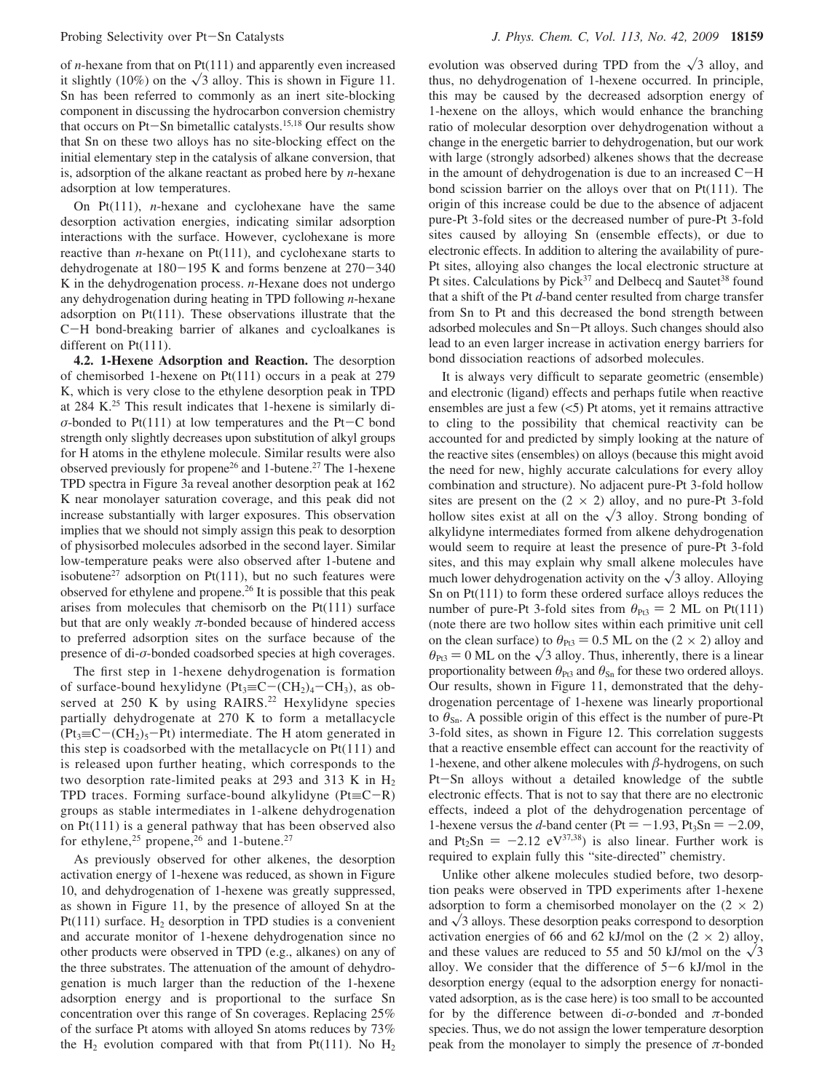of *n*-hexane from that on Pt(111) and apparently even increased it slightly (10%) on the  $\sqrt{3}$  alloy. This is shown in Figure 11. Sn has been referred to commonly as an inert site-blocking component in discussing the hydrocarbon conversion chemistry that occurs on Pt-Sn bimetallic catalysts.15,18 Our results show that Sn on these two alloys has no site-blocking effect on the initial elementary step in the catalysis of alkane conversion, that is, adsorption of the alkane reactant as probed here by *n*-hexane adsorption at low temperatures.

On Pt(111), *n*-hexane and cyclohexane have the same desorption activation energies, indicating similar adsorption interactions with the surface. However, cyclohexane is more reactive than *n*-hexane on Pt(111), and cyclohexane starts to dehydrogenate at 180-195 K and forms benzene at 270-<sup>340</sup> K in the dehydrogenation process. *n*-Hexane does not undergo any dehydrogenation during heating in TPD following *n*-hexane adsorption on Pt(111). These observations illustrate that the <sup>C</sup>-H bond-breaking barrier of alkanes and cycloalkanes is different on Pt(111).

**4.2. 1-Hexene Adsorption and Reaction.** The desorption of chemisorbed 1-hexene on Pt(111) occurs in a peak at 279 K, which is very close to the ethylene desorption peak in TPD at 284 K.25 This result indicates that 1-hexene is similarly di- $\sigma$ -bonded to Pt(111) at low temperatures and the Pt-C bond strength only slightly decreases upon substitution of alkyl groups for H atoms in the ethylene molecule. Similar results were also observed previously for propene<sup>26</sup> and 1-butene.<sup>27</sup> The 1-hexene TPD spectra in Figure 3a reveal another desorption peak at 162 K near monolayer saturation coverage, and this peak did not increase substantially with larger exposures. This observation implies that we should not simply assign this peak to desorption of physisorbed molecules adsorbed in the second layer. Similar low-temperature peaks were also observed after 1-butene and isobutene<sup>27</sup> adsorption on Pt(111), but no such features were observed for ethylene and propene.26 It is possible that this peak arises from molecules that chemisorb on the Pt(111) surface but that are only weakly  $\pi$ -bonded because of hindered access to preferred adsorption sites on the surface because of the presence of di-*σ*-bonded coadsorbed species at high coverages.

The first step in 1-hexene dehydrogenation is formation<br>of surface-bound hexylidyne  $(Pt<sub>3</sub>=C-(CH<sub>2</sub>)<sub>4</sub>-CH<sub>3</sub>)$ , as obof surface-bound hexylidyne (Pt<sub>3</sub>≡C-(CH<sub>2</sub>)<sub>4</sub>-CH<sub>3</sub>), as ob-<br>served at 250 K by using RAIRS.<sup>22</sup> Hexylidyne species partially dehydrogenate at 270 K to form a metallacycle  $(Pt_3 \equiv C - (CH_2)_5 - Pt)$  intermediate. The H atom generated in this step is coadsorbed with the metallacycle on  $Pt(111)$  and is released upon further heating, which corresponds to the two desorption rate-limited peaks at 293 and 313 K in  $H_2$ TPD traces. Forming surface-bound alkylidyne ( $Pt \equiv C - R$ ) groups as stable intermediates in 1-alkene dehydrogenation on Pt(111) is a general pathway that has been observed also for ethylene,<sup>25</sup> propene,<sup>26</sup> and 1-butene.<sup>27</sup>

As previously observed for other alkenes, the desorption activation energy of 1-hexene was reduced, as shown in Figure 10, and dehydrogenation of 1-hexene was greatly suppressed, as shown in Figure 11, by the presence of alloyed Sn at the Pt(111) surface.  $H_2$  desorption in TPD studies is a convenient and accurate monitor of 1-hexene dehydrogenation since no other products were observed in TPD (e.g., alkanes) on any of the three substrates. The attenuation of the amount of dehydrogenation is much larger than the reduction of the 1-hexene adsorption energy and is proportional to the surface Sn concentration over this range of Sn coverages. Replacing 25% of the surface Pt atoms with alloyed Sn atoms reduces by 73% the  $H_2$  evolution compared with that from Pt(111). No  $H_2$  evolution was observed during TPD from the  $\sqrt{3}$  alloy, and thus, no dehydrogenation of 1-hexene occurred. In principle, this may be caused by the decreased adsorption energy of 1-hexene on the alloys, which would enhance the branching ratio of molecular desorption over dehydrogenation without a change in the energetic barrier to dehydrogenation, but our work with large (strongly adsorbed) alkenes shows that the decrease in the amount of dehydrogenation is due to an increased C-<sup>H</sup> bond scission barrier on the alloys over that on Pt(111). The origin of this increase could be due to the absence of adjacent pure-Pt 3-fold sites or the decreased number of pure-Pt 3-fold sites caused by alloying Sn (ensemble effects), or due to electronic effects. In addition to altering the availability of pure-Pt sites, alloying also changes the local electronic structure at Pt sites. Calculations by Pick<sup>37</sup> and Delbecq and Sautet<sup>38</sup> found that a shift of the Pt *d*-band center resulted from charge transfer from Sn to Pt and this decreased the bond strength between adsorbed molecules and Sn-Pt alloys. Such changes should also lead to an even larger increase in activation energy barriers for bond dissociation reactions of adsorbed molecules.

It is always very difficult to separate geometric (ensemble) and electronic (ligand) effects and perhaps futile when reactive ensembles are just a few  $(<5)$  Pt atoms, yet it remains attractive to cling to the possibility that chemical reactivity can be accounted for and predicted by simply looking at the nature of the reactive sites (ensembles) on alloys (because this might avoid the need for new, highly accurate calculations for every alloy combination and structure). No adjacent pure-Pt 3-fold hollow sites are present on the  $(2 \times 2)$  alloy, and no pure-Pt 3-fold hollow sites exist at all on the  $\sqrt{3}$  alloy. Strong bonding of alkylidyne intermediates formed from alkene dehydrogenation would seem to require at least the presence of pure-Pt 3-fold sites, and this may explain why small alkene molecules have much lower dehydrogenation activity on the  $\sqrt{3}$  alloy. Alloying Sn on Pt(111) to form these ordered surface alloys reduces the number of pure-Pt 3-fold sites from  $\theta_{Pt3} = 2$  ML on Pt(111) (note there are two hollow sites within each primitive unit cell on the clean surface) to  $\theta_{P13} = 0.5$  ML on the (2  $\times$  2) alloy and  $heta_{Pt3} = 0$  ML on the  $\sqrt{3}$  alloy. Thus, inherently, there is a linear proportionality between  $\theta_{\text{Pt3}}$  and  $\theta_{\text{Sn}}$  for these two ordered alloys. Our results, shown in Figure 11, demonstrated that the dehydrogenation percentage of 1-hexene was linearly proportional to θ<sub>Sn</sub>. A possible origin of this effect is the number of pure-Pt 3-fold sites, as shown in Figure 12. This correlation suggests that a reactive ensemble effect can account for the reactivity of 1-hexene, and other alkene molecules with  $\beta$ -hydrogens, on such Pt-Sn alloys without a detailed knowledge of the subtle electronic effects. That is not to say that there are no electronic effects, indeed a plot of the dehydrogenation percentage of 1-hexene versus the *d*-band center (Pt =  $-1.93$ , Pt<sub>3</sub>Sn =  $-2.09$ , and  $Pt_2Sn = -2.12$  eV<sup>37,38</sup>) is also linear. Further work is required to explain fully this "site-directed" chemistry.

Unlike other alkene molecules studied before, two desorption peaks were observed in TPD experiments after 1-hexene adsorption to form a chemisorbed monolayer on the  $(2 \times 2)$ and  $\sqrt{3}$  alloys. These desorption peaks correspond to desorption activation energies of 66 and 62 kJ/mol on the  $(2 \times 2)$  alloy, and these values are reduced to 55 and 50 kJ/mol on the  $\sqrt{3}$ alloy. We consider that the difference of  $5-6$  kJ/mol in the desorption energy (equal to the adsorption energy for nonactivated adsorption, as is the case here) is too small to be accounted for by the difference between di-*σ*-bonded and *π*-bonded species. Thus, we do not assign the lower temperature desorption peak from the monolayer to simply the presence of  $\pi$ -bonded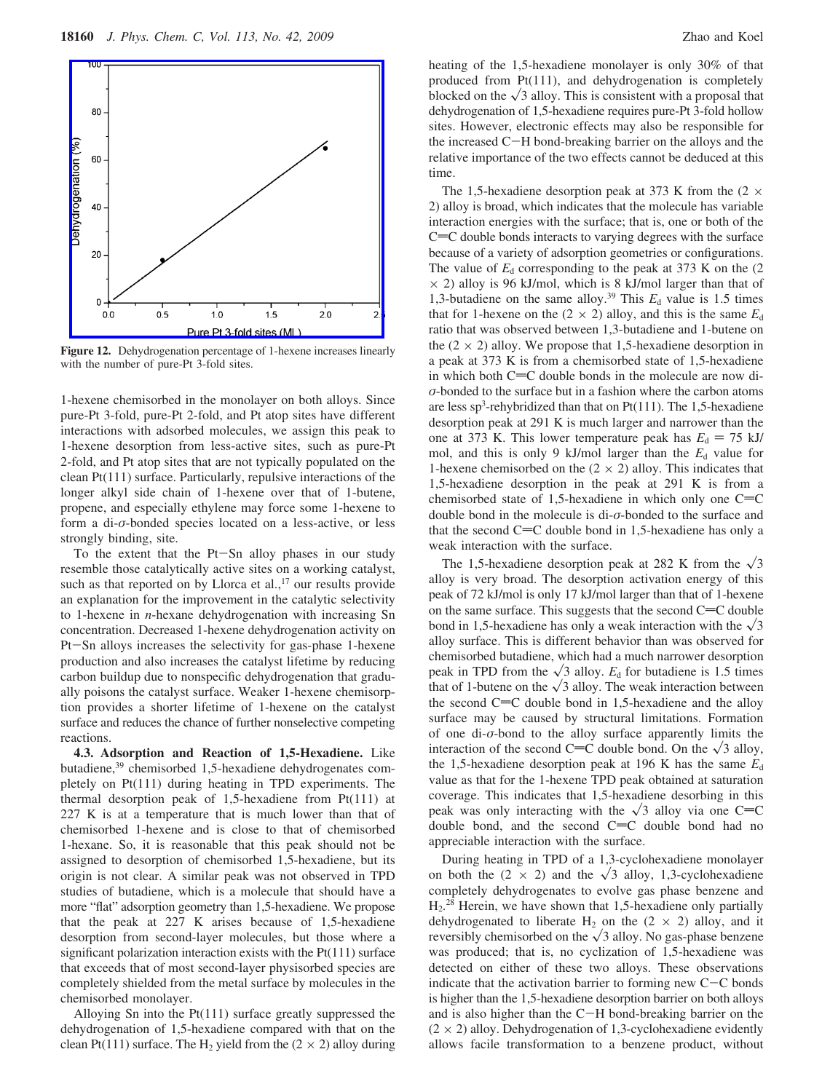

**Figure 12.** Dehydrogenation percentage of 1-hexene increases linearly with the number of pure-Pt 3-fold sites.

1-hexene chemisorbed in the monolayer on both alloys. Since pure-Pt 3-fold, pure-Pt 2-fold, and Pt atop sites have different interactions with adsorbed molecules, we assign this peak to 1-hexene desorption from less-active sites, such as pure-Pt 2-fold, and Pt atop sites that are not typically populated on the clean Pt(111) surface. Particularly, repulsive interactions of the longer alkyl side chain of 1-hexene over that of 1-butene, propene, and especially ethylene may force some 1-hexene to form a di-*σ*-bonded species located on a less-active, or less strongly binding, site.

To the extent that the Pt-Sn alloy phases in our study resemble those catalytically active sites on a working catalyst, such as that reported on by Llorca et al., $17$  our results provide an explanation for the improvement in the catalytic selectivity to 1-hexene in *n*-hexane dehydrogenation with increasing Sn concentration. Decreased 1-hexene dehydrogenation activity on Pt-Sn alloys increases the selectivity for gas-phase 1-hexene production and also increases the catalyst lifetime by reducing carbon buildup due to nonspecific dehydrogenation that gradually poisons the catalyst surface. Weaker 1-hexene chemisorption provides a shorter lifetime of 1-hexene on the catalyst surface and reduces the chance of further nonselective competing reactions.

**4.3. Adsorption and Reaction of 1,5-Hexadiene.** Like butadiene,39 chemisorbed 1,5-hexadiene dehydrogenates completely on Pt(111) during heating in TPD experiments. The thermal desorption peak of 1,5-hexadiene from Pt(111) at 227 K is at a temperature that is much lower than that of chemisorbed 1-hexene and is close to that of chemisorbed 1-hexane. So, it is reasonable that this peak should not be assigned to desorption of chemisorbed 1,5-hexadiene, but its origin is not clear. A similar peak was not observed in TPD studies of butadiene, which is a molecule that should have a more "flat" adsorption geometry than 1,5-hexadiene. We propose that the peak at 227 K arises because of 1,5-hexadiene desorption from second-layer molecules, but those where a significant polarization interaction exists with the Pt(111) surface that exceeds that of most second-layer physisorbed species are completely shielded from the metal surface by molecules in the chemisorbed monolayer.

Alloying Sn into the Pt(111) surface greatly suppressed the dehydrogenation of 1,5-hexadiene compared with that on the clean Pt(111) surface. The H<sub>2</sub> yield from the  $(2 \times 2)$  alloy during heating of the 1,5-hexadiene monolayer is only 30% of that produced from Pt(111), and dehydrogenation is completely blocked on the  $\sqrt{3}$  alloy. This is consistent with a proposal that dehydrogenation of 1,5-hexadiene requires pure-Pt 3-fold hollow sites. However, electronic effects may also be responsible for the increased C-H bond-breaking barrier on the alloys and the relative importance of the two effects cannot be deduced at this time.

The 1,5-hexadiene desorption peak at 373 K from the  $(2 \times$ 2) alloy is broad, which indicates that the molecule has variable interaction energies with the surface; that is, one or both of the  $C=C$  double bonds interacts to varying degrees with the surface because of a variety of adsorption geometries or configurations. The value of  $E<sub>d</sub>$  corresponding to the peak at 373 K on the  $(2)$  $\times$  2) alloy is 96 kJ/mol, which is 8 kJ/mol larger than that of 1,3-butadiene on the same alloy.<sup>39</sup> This  $E_d$  value is 1.5 times that for 1-hexene on the  $(2 \times 2)$  alloy, and this is the same  $E_d$ ratio that was observed between 1,3-butadiene and 1-butene on the  $(2 \times 2)$  alloy. We propose that 1,5-hexadiene desorption in a peak at 373 K is from a chemisorbed state of 1,5-hexadiene in which both  $C=C$  double bonds in the molecule are now di*σ*-bonded to the surface but in a fashion where the carbon atoms are less sp<sup>3</sup>-rehybridized than that on Pt(111). The 1,5-hexadiene desorption peak at 291 K is much larger and narrower than the one at 373 K. This lower temperature peak has  $E_d = 75$  kJ/ mol, and this is only 9 kJ/mol larger than the  $E<sub>d</sub>$  value for 1-hexene chemisorbed on the  $(2 \times 2)$  alloy. This indicates that 1,5-hexadiene desorption in the peak at 291 K is from a chemisorbed state of 1,5-hexadiene in which only one  $C=C$ double bond in the molecule is di-*σ*-bonded to the surface and that the second  $C=C$  double bond in 1,5-hexadiene has only a weak interaction with the surface.

The 1,5-hexadiene desorption peak at 282 K from the  $\sqrt{3}$ alloy is very broad. The desorption activation energy of this peak of 72 kJ/mol is only 17 kJ/mol larger than that of 1-hexene on the same surface. This suggests that the second  $C=C$  double bond in 1,5-hexadiene has only a weak interaction with the  $\sqrt{3}$ alloy surface. This is different behavior than was observed for chemisorbed butadiene, which had a much narrower desorption peak in TPD from the  $\sqrt{3}$  alloy.  $E_d$  for butadiene is 1.5 times that of 1-butene on the  $\sqrt{3}$  alloy. The weak interaction between the second  $C=C$  double bond in 1,5-hexadiene and the alloy surface may be caused by structural limitations. Formation of one di-*σ*-bond to the alloy surface apparently limits the interaction of the second C=C double bond. On the  $\sqrt{3}$  alloy, the 1,5-hexadiene desorption peak at 196 K has the same *E*<sup>d</sup> value as that for the 1-hexene TPD peak obtained at saturation coverage. This indicates that 1,5-hexadiene desorbing in this peak was only interacting with the  $\sqrt{3}$  alloy via one C=C double bond, and the second  $C=C$  double bond had no appreciable interaction with the surface.

During heating in TPD of a 1,3-cyclohexadiene monolayer on both the  $(2 \times 2)$  and the  $\sqrt{3}$  alloy, 1,3-cyclohexadiene completely dehydrogenates to evolve gas phase benzene and  $H<sub>2</sub>$ .<sup>28</sup> Herein, we have shown that 1,5-hexadiene only partially dehydrogenated to liberate H<sub>2</sub> on the  $(2 \times 2)$  alloy, and it reversibly chemisorbed on the  $\sqrt{3}$  alloy. No gas-phase benzene was produced; that is, no cyclization of 1,5-hexadiene was detected on either of these two alloys. These observations indicate that the activation barrier to forming new  $C-C$  bonds is higher than the 1,5-hexadiene desorption barrier on both alloys and is also higher than the C-H bond-breaking barrier on the  $(2 \times 2)$  alloy. Dehydrogenation of 1,3-cyclohexadiene evidently allows facile transformation to a benzene product, without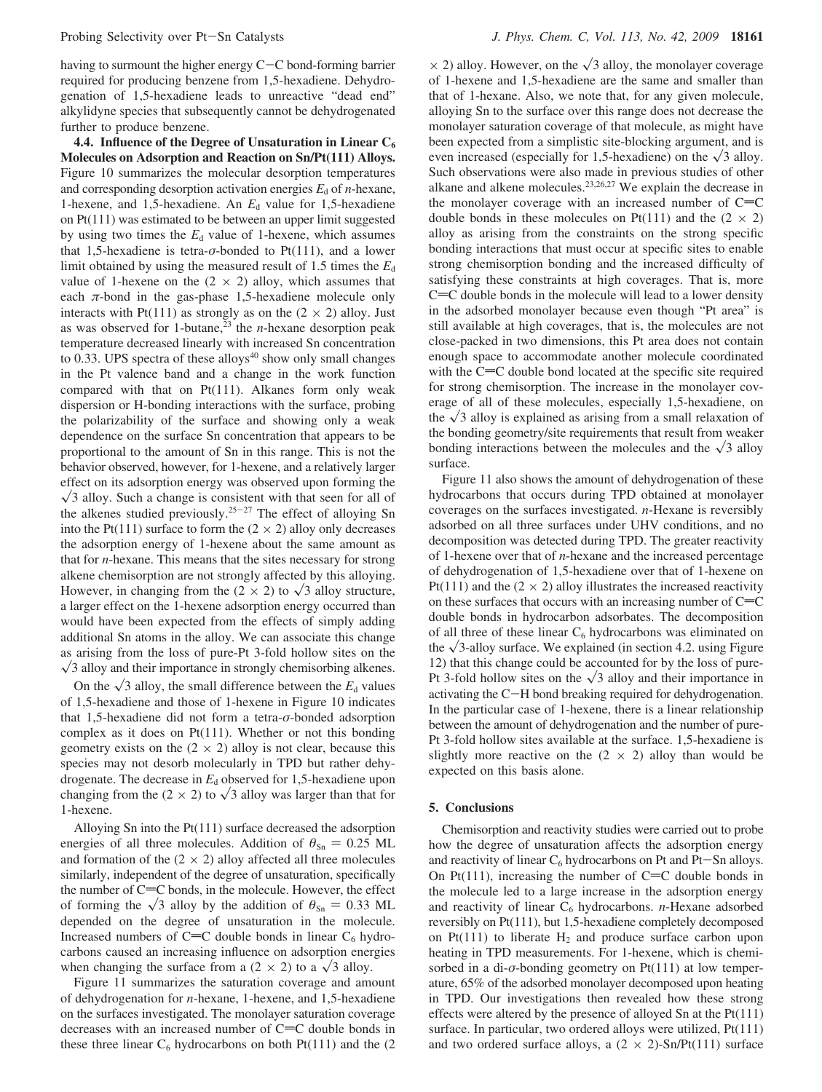having to surmount the higher energy C-C bond-forming barrier required for producing benzene from 1,5-hexadiene. Dehydrogenation of 1,5-hexadiene leads to unreactive "dead end" alkylidyne species that subsequently cannot be dehydrogenated further to produce benzene.

**4.4. Influence of the Degree of Unsaturation in Linear C6 Molecules on Adsorption and Reaction on Sn/Pt(111) Alloys.** Figure 10 summarizes the molecular desorption temperatures and corresponding desorption activation energies  $E_d$  of *n*-hexane, 1-hexene, and 1,5-hexadiene. An  $E<sub>d</sub>$  value for 1,5-hexadiene on Pt(111) was estimated to be between an upper limit suggested by using two times the  $E<sub>d</sub>$  value of 1-hexene, which assumes that 1,5-hexadiene is tetra- $\sigma$ -bonded to Pt(111), and a lower limit obtained by using the measured result of 1.5 times the  $E<sub>d</sub>$ value of 1-hexene on the  $(2 \times 2)$  alloy, which assumes that each  $\pi$ -bond in the gas-phase 1,5-hexadiene molecule only interacts with Pt(111) as strongly as on the  $(2 \times 2)$  alloy. Just as was observed for 1-butane,<sup>23</sup> the *n*-hexane desorption peak temperature decreased linearly with increased Sn concentration to  $0.33$ . UPS spectra of these alloys<sup>40</sup> show only small changes in the Pt valence band and a change in the work function compared with that on  $Pt(111)$ . Alkanes form only weak dispersion or H-bonding interactions with the surface, probing the polarizability of the surface and showing only a weak dependence on the surface Sn concentration that appears to be proportional to the amount of Sn in this range. This is not the behavior observed, however, for 1-hexene, and a relatively larger effect on its adsorption energy was observed upon forming the  $\sqrt{3}$  alloy. Such a change is consistent with that seen for all of the alkenes studied previously.<sup>25-27</sup> The effect of alloying Sn into the Pt(111) surface to form the  $(2 \times 2)$  alloy only decreases the adsorption energy of 1-hexene about the same amount as that for *n*-hexane. This means that the sites necessary for strong alkene chemisorption are not strongly affected by this alloying. However, in changing from the  $(2 \times 2)$  to  $\sqrt{3}$  alloy structure, a larger effect on the 1-hexene adsorption energy occurred than would have been expected from the effects of simply adding additional Sn atoms in the alloy. We can associate this change as arising from the loss of pure-Pt 3-fold hollow sites on the  $\sqrt{3}$  alloy and their importance in strongly chemisorbing alkenes.

On the  $\sqrt{3}$  alloy, the small difference between the  $E_d$  values of 1,5-hexadiene and those of 1-hexene in Figure 10 indicates that 1,5-hexadiene did not form a tetra-*σ*-bonded adsorption complex as it does on Pt(111). Whether or not this bonding geometry exists on the  $(2 \times 2)$  alloy is not clear, because this species may not desorb molecularly in TPD but rather dehydrogenate. The decrease in  $E_d$  observed for 1,5-hexadiene upon changing from the (2  $\times$  2) to  $\sqrt{3}$  alloy was larger than that for 1-hexene.

Alloying Sn into the Pt(111) surface decreased the adsorption energies of all three molecules. Addition of  $\theta_{\text{Sn}} = 0.25$  ML and formation of the  $(2 \times 2)$  alloy affected all three molecules similarly, independent of the degree of unsaturation, specifically the number of  $C=C$  bonds, in the molecule. However, the effect of forming the  $\sqrt{3}$  alloy by the addition of  $\theta_{\text{Sn}} = 0.33$  ML depended on the degree of unsaturation in the molecule. Increased numbers of  $C=C$  double bonds in linear  $C_6$  hydrocarbons caused an increasing influence on adsorption energies when changing the surface from a  $(2 \times 2)$  to a  $\sqrt{3}$  alloy.

Figure 11 summarizes the saturation coverage and amount of dehydrogenation for *n*-hexane, 1-hexene, and 1,5-hexadiene on the surfaces investigated. The monolayer saturation coverage decreases with an increased number of  $C=C$  double bonds in these three linear  $C_6$  hydrocarbons on both Pt(111) and the (2)

 $\times$  2) alloy. However, on the  $\sqrt{3}$  alloy, the monolayer coverage of 1-hexene and 1,5-hexadiene are the same and smaller than that of 1-hexane. Also, we note that, for any given molecule, alloying Sn to the surface over this range does not decrease the monolayer saturation coverage of that molecule, as might have been expected from a simplistic site-blocking argument, and is even increased (especially for 1,5-hexadiene) on the  $\sqrt{3}$  alloy. Such observations were also made in previous studies of other alkane and alkene molecules.23,26,27 We explain the decrease in the monolayer coverage with an increased number of  $C=C$ double bonds in these molecules on Pt(111) and the  $(2 \times 2)$ alloy as arising from the constraints on the strong specific bonding interactions that must occur at specific sites to enable strong chemisorption bonding and the increased difficulty of satisfying these constraints at high coverages. That is, more  $C=C$  double bonds in the molecule will lead to a lower density in the adsorbed monolayer because even though "Pt area" is still available at high coverages, that is, the molecules are not close-packed in two dimensions, this Pt area does not contain enough space to accommodate another molecule coordinated with the  $C=C$  double bond located at the specific site required for strong chemisorption. The increase in the monolayer coverage of all of these molecules, especially 1,5-hexadiene, on the  $\sqrt{3}$  alloy is explained as arising from a small relaxation of the bonding geometry/site requirements that result from weaker bonding interactions between the molecules and the  $\sqrt{3}$  alloy surface.

Figure 11 also shows the amount of dehydrogenation of these hydrocarbons that occurs during TPD obtained at monolayer coverages on the surfaces investigated. *n*-Hexane is reversibly adsorbed on all three surfaces under UHV conditions, and no decomposition was detected during TPD. The greater reactivity of 1-hexene over that of *n*-hexane and the increased percentage of dehydrogenation of 1,5-hexadiene over that of 1-hexene on Pt(111) and the (2  $\times$  2) alloy illustrates the increased reactivity on these surfaces that occurs with an increasing number of  $C=C$ double bonds in hydrocarbon adsorbates. The decomposition of all three of these linear  $C_6$  hydrocarbons was eliminated on the  $\sqrt{3}$ -alloy surface. We explained (in section 4.2. using Figure 12) that this change could be accounted for by the loss of pure-Pt 3-fold hollow sites on the  $\sqrt{3}$  alloy and their importance in activating the C-H bond breaking required for dehydrogenation. In the particular case of 1-hexene, there is a linear relationship between the amount of dehydrogenation and the number of pure-Pt 3-fold hollow sites available at the surface. 1,5-hexadiene is slightly more reactive on the  $(2 \times 2)$  alloy than would be expected on this basis alone.

#### **5. Conclusions**

Chemisorption and reactivity studies were carried out to probe how the degree of unsaturation affects the adsorption energy and reactivity of linear  $C_6$  hydrocarbons on Pt and Pt-Sn alloys. On Pt(111), increasing the number of  $C=C$  double bonds in the molecule led to a large increase in the adsorption energy and reactivity of linear C<sub>6</sub> hydrocarbons. *n*-Hexane adsorbed reversibly on Pt(111), but 1,5-hexadiene completely decomposed on Pt(111) to liberate  $H_2$  and produce surface carbon upon heating in TPD measurements. For 1-hexene, which is chemisorbed in a di- $\sigma$ -bonding geometry on Pt $(111)$  at low temperature, 65% of the adsorbed monolayer decomposed upon heating in TPD. Our investigations then revealed how these strong effects were altered by the presence of alloyed Sn at the Pt(111) surface. In particular, two ordered alloys were utilized,  $Pt(111)$ and two ordered surface alloys, a  $(2 \times 2)$ -Sn/Pt(111) surface